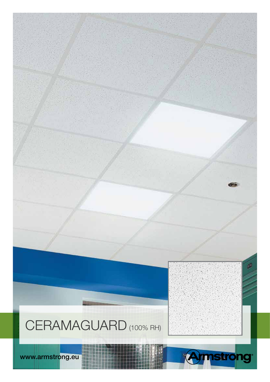